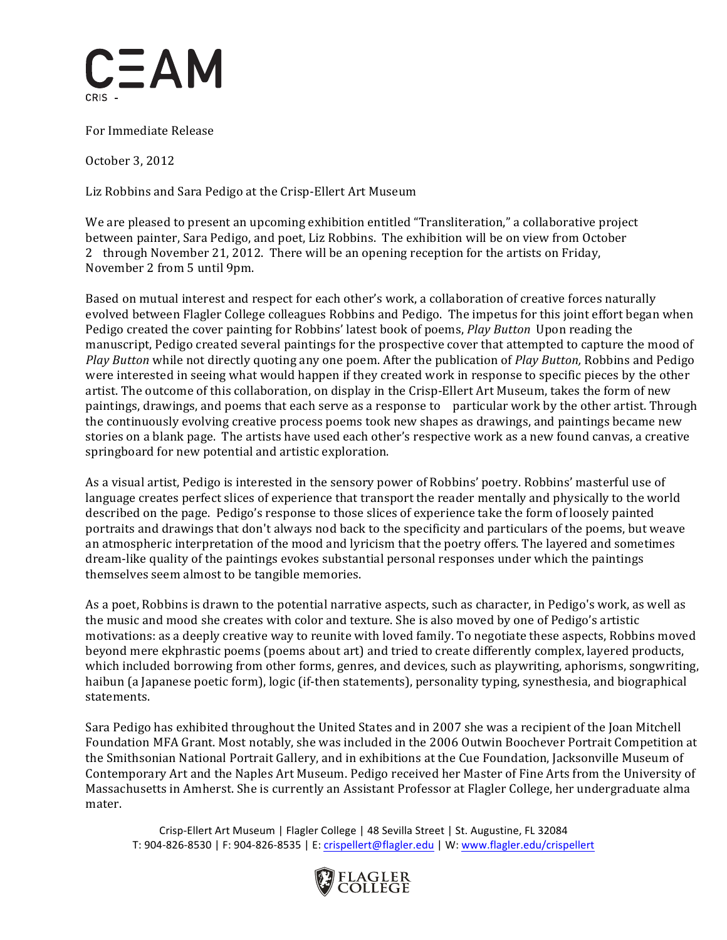

 For Immediate Release

 October 3, 2012

 Liz Robbins and Sara Pedigo at the Crisp-Ellert Art Museum

 We are pleased to present an upcoming exhibition entitled "Transliteration," a collaborative project between painter, Sara Pedigo, and poet, Liz Robbins. The exhibition will be on view from October 2 through November 21, 2012. There will be an opening reception for the artists on Friday, November 2 from 5 until 9pm.

 Based on mutual interest and respect for each other's work, a collaboration of creative forces naturally evolved between Flagler College colleagues Robbins and Pedigo. The impetus for this joint effort began when Pedigo created the cover painting for Robbins' latest book of poems, *Play Button* Upon reading the manuscript, Pedigo created several paintings for the prospective cover that attempted to capture the mood of *Play Button* while not directly quoting any one poem. After the publication of *Play Button,* Robbins and Pedigo were interested in seeing what would happen if they created work in response to specific pieces by the other artist. The outcome of this collaboration, on display in the Crisp-Ellert Art Museum, takes the form of new paintings, drawings, and poems that each serve as a response to particular work by the other artist. Through the continuously evolving creative process poems took new shapes as drawings, and paintings became new stories on a blank page. The artists have used each other's respective work as a new found canvas, a creative springboard for new potential and artistic exploration.

 As a visual artist, Pedigo is interested in the sensory power of Robbins' poetry. Robbins' masterful use of language creates perfect slices of experience that transport the reader mentally and physically to the world described on the page. Pedigo's response to those slices of experience take the form of loosely painted portraits and drawings that don't always nod back to the specificity and particulars of the poems, but weave an atmospheric interpretation of the mood and lyricism that the poetry offers. The layered and sometimes dream-like quality of the paintings evokes substantial personal responses under which the paintings themselves seem almost to be tangible memories.

As a poet, Robbins is drawn to the potential narrative aspects, such as character, in Pedigo's work, as well as the music and mood she creates with color and texture. She is also moved by one of Pedigo's artistic motivations: as a deeply creative way to reunite with loved family. To negotiate these aspects, Robbins moved beyond mere ekphrastic poems (poems about art) and tried to create differently complex, layered products, which included borrowing from other forms, genres, and devices, such as playwriting, aphorisms, songwriting, haibun (a Japanese poetic form), logic (if-then statements), personality typing, synesthesia, and biographical statements.

Sara Pedigo has exhibited throughout the United States and in 2007 she was a recipient of the Joan Mitchell Foundation MFA Grant. Most notably, she was included in the 2006 Outwin Boochever Portrait Competition at the Smithsonian National Portrait Gallery, and in exhibitions at the Cue Foundation, Jacksonville Museum of Contemporary Art and the Naples Art Museum. Pedigo received her Master of Fine Arts from the University of Massachusetts in Amherst. She is currently an Assistant Professor at Flagler College, her undergraduate alma mater.

Crisp-Ellert Art Museum | Flagler College | 48 Sevilla Street | St. Augustine, FL 32084 T: 904-826-8530 | F: 904-826-8535 | E: crispellert@flagler.edu | W: www.flagler.edu/crispellert